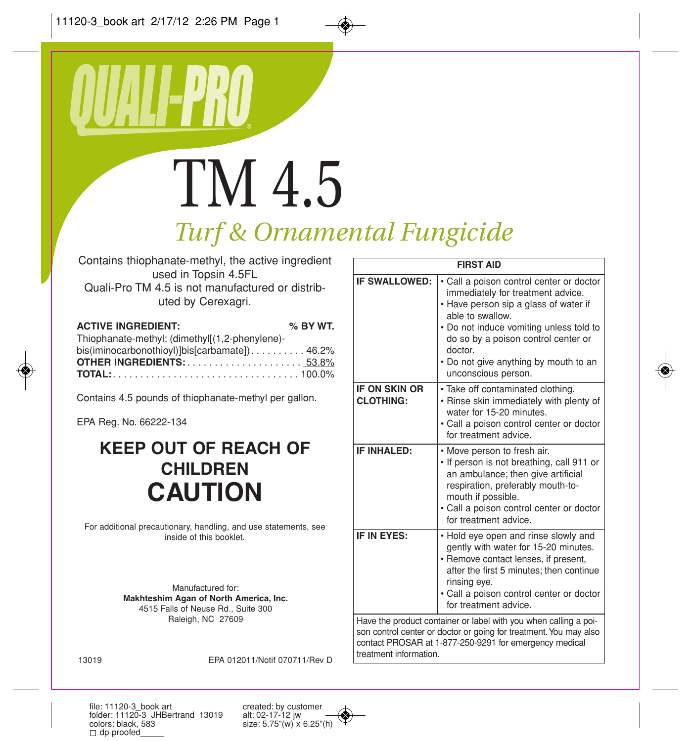# TM 4.5

# *Turf & Ornamental Fungicide*

Contains thiophanate-methyl, the active ingredient used in Topsin 4.5FL Quali-Pro TM 4.5 is not manufactured or distrib-

uted by Cerexagri.

#### **ACTIVE INGREDIENT: % BY WT.**

| Thiophanate-methyl: (dimethyl[(1,2-phenylene)- |  |
|------------------------------------------------|--|
| bis(iminocarbonothioyl)]bis[carbamate])46.2%   |  |
| <b>OTHER INGREDIENTS:53.8%</b>                 |  |
|                                                |  |

Contains 4.5 pounds of thiophanate-methyl per gallon.

EPA Reg. No. 66222-134

# **KEEP OUT OF REACH OF CHILDREN CAUTION**

For additional precautionary, handling, and use statements, see inside of this booklet.

> Manufactured for: **Makhteshim Agan of North America, Inc.** 4515 Falls of Neuse Rd., Suite 300 Raleigh, NC 27609

| <b>FIRST AID</b>                                                                                                                                                                                                          |                                                                                                                                                                                                                                                                                                         |
|---------------------------------------------------------------------------------------------------------------------------------------------------------------------------------------------------------------------------|---------------------------------------------------------------------------------------------------------------------------------------------------------------------------------------------------------------------------------------------------------------------------------------------------------|
| IF SWALLOWED:                                                                                                                                                                                                             | • Call a poison control center or doctor<br>immediately for treatment advice.<br>• Have person sip a glass of water if<br>able to swallow.<br>. Do not induce vomiting unless told to<br>do so by a poison control center or<br>doctor.<br>• Do not give anything by mouth to an<br>unconscious person. |
| <b>IF ON SKIN OR</b><br><b>CLOTHING:</b>                                                                                                                                                                                  | · Take off contaminated clothing.<br>• Rinse skin immediately with plenty of<br>water for 15-20 minutes.<br>• Call a poison control center or doctor<br>for treatment advice.                                                                                                                           |
| IF INHALED:                                                                                                                                                                                                               | • Move person to fresh air.<br>. If person is not breathing, call 911 or<br>an ambulance; then give artificial<br>respiration, preferably mouth-to-<br>mouth if possible.<br>• Call a poison control center or doctor<br>for treatment advice.                                                          |
| IF IN EYES:                                                                                                                                                                                                               | • Hold eye open and rinse slowly and<br>gently with water for 15-20 minutes.<br>• Remove contact lenses, if present,<br>after the first 5 minutes: then continue<br>rinsing eye.<br>• Call a poison control center or doctor<br>for treatment advice.                                                   |
| Have the product container or label with you when calling a poi-<br>son control center or doctor or going for treatment. You may also<br>contact PROSAR at 1-877-250-9291 for emergency medical<br>treatment information. |                                                                                                                                                                                                                                                                                                         |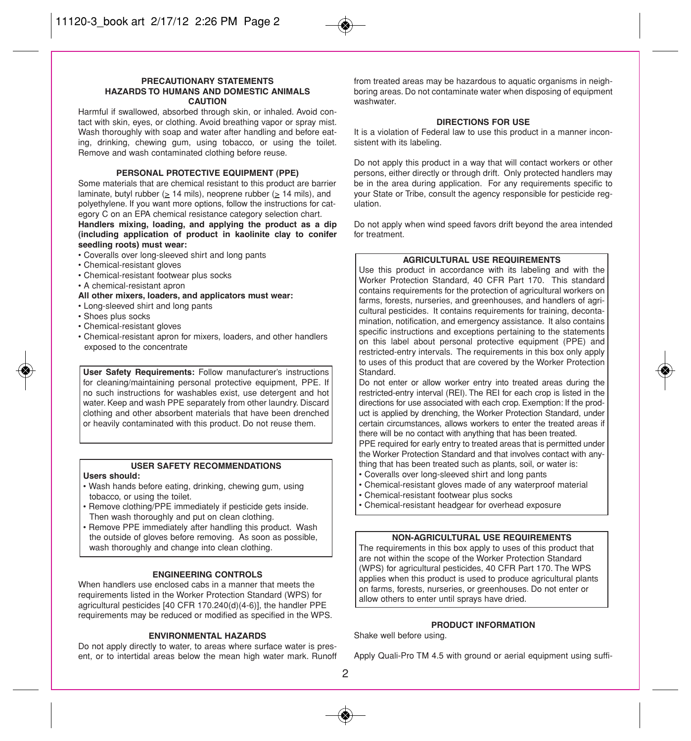#### **PRECAUTIONARY STATEMENTS HAZARDS TO HUMANS AND DOMESTIC ANIMALS CAUTION**

Harmful if swallowed, absorbed through skin, or inhaled. Avoid contact with skin, eyes, or clothing. Avoid breathing vapor or spray mist. Wash thoroughly with soap and water after handling and before eating, drinking, chewing gum, using tobacco, or using the toilet. Remove and wash contaminated clothing before reuse.

#### **PERSONAL PROTECTIVE EQUIPMENT (PPE)**

Some materials that are chemical resistant to this product are barrier laminate, butyl rubber ( $\geq$  14 mils), neoprene rubber ( $\geq$  14 mils), and polyethylene. If you want more options, follow the instructions for category C on an EPA chemical resistance category selection chart.

#### **Handlers mixing, loading, and applying the product as a dip (including application of product in kaolinite clay to conifer seedling roots) must wear:**

- Coveralls over long-sleeved shirt and long pants
- Chemical-resistant gloves
- Chemical-resistant footwear plus socks
- A chemical-resistant apron
- **All other mixers, loaders, and applicators must wear:**
- Long-sleeved shirt and long pants
- Shoes plus socks
- Chemical-resistant gloves
- Chemical-resistant apron for mixers, loaders, and other handlers exposed to the concentrate

**User Safety Requirements:** Follow manufacturer's instructions for cleaning/maintaining personal protective equipment, PPE. If no such instructions for washables exist, use detergent and hot water. Keep and wash PPE separately from other laundry. Discard clothing and other absorbent materials that have been drenched or heavily contaminated with this product. Do not reuse them.

#### **USER SAFETY RECOMMENDATIONS**

#### **Users should:**

- Wash hands before eating, drinking, chewing gum, using tobacco, or using the toilet.
- Remove clothing/PPE immediately if pesticide gets inside. Then wash thoroughly and put on clean clothing.
- Remove PPE immediately after handling this product. Wash the outside of gloves before removing. As soon as possible, wash thoroughly and change into clean clothing.

#### **ENGINEERING CONTROLS**

When handlers use enclosed cabs in a manner that meets the requirements listed in the Worker Protection Standard (WPS) for agricultural pesticides [40 CFR 170.240(d)(4-6)], the handler PPE requirements may be reduced or modified as specified in the WPS.

#### **ENVIRONMENTAL HAZARDS**

Do not apply directly to water, to areas where surface water is present, or to intertidal areas below the mean high water mark. Runoff from treated areas may be hazardous to aquatic organisms in neighboring areas. Do not contaminate water when disposing of equipment washwater.

#### **DIRECTIONS FOR USE**

It is a violation of Federal law to use this product in a manner inconsistent with its labeling.

Do not apply this product in a way that will contact workers or other persons, either directly or through drift. Only protected handlers may be in the area during application. For any requirements specific to your State or Tribe, consult the agency responsible for pesticide regulation.

Do not apply when wind speed favors drift beyond the area intended for treatment.

#### **AGRICULTURAL USE REQUIREMENTS**

Use this product in accordance with its labeling and with the Worker Protection Standard, 40 CFR Part 170. This standard contains requirements for the protection of agricultural workers on farms, forests, nurseries, and greenhouses, and handlers of agricultural pesticides. It contains requirements for training, decontamination, notification, and emergency assistance. It also contains specific instructions and exceptions pertaining to the statements on this label about personal protective equipment (PPE) and restricted-entry intervals. The requirements in this box only apply to uses of this product that are covered by the Worker Protection Standard.

Do not enter or allow worker entry into treated areas during the restricted-entry interval (REI). The REI for each crop is listed in the directions for use associated with each crop. Exemption: If the product is applied by drenching, the Worker Protection Standard, under certain circumstances, allows workers to enter the treated areas if there will be no contact with anything that has been treated.

PPE required for early entry to treated areas that is permitted under the Worker Protection Standard and that involves contact with anything that has been treated such as plants, soil, or water is:

- Coveralls over long-sleeved shirt and long pants
- Chemical-resistant gloves made of any waterproof material
- Chemical-resistant footwear plus socks
- Chemical-resistant headgear for overhead exposure

#### **NON-AGRICULTURAL USE REQUIREMENTS**

The requirements in this box apply to uses of this product that are not within the scope of the Worker Protection Standard (WPS) for agricultural pesticides, 40 CFR Part 170. The WPS applies when this product is used to produce agricultural plants on farms, forests, nurseries, or greenhouses. Do not enter or allow others to enter until sprays have dried.

#### **PRODUCT INFORMATION**

Shake well before using.

Apply Quali-Pro TM 4.5 with ground or aerial equipment using suffi-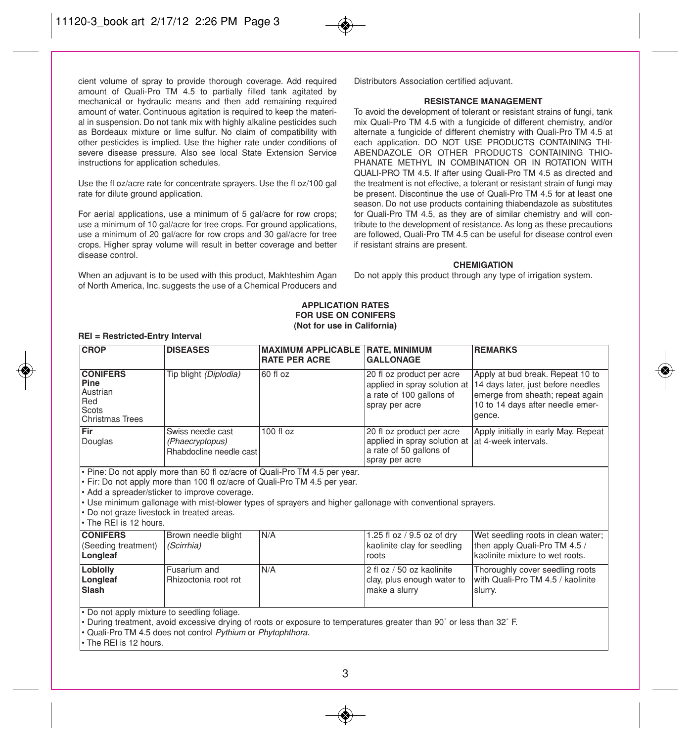cient volume of spray to provide thorough coverage. Add required amount of Quali-Pro TM 4.5 to partially filled tank agitated by mechanical or hydraulic means and then add remaining required amount of water. Continuous agitation is required to keep the material in suspension. Do not tank mix with highly alkaline pesticides such as Bordeaux mixture or lime sulfur. No claim of compatibility with other pesticides is implied. Use the higher rate under conditions of severe disease pressure. Also see local State Extension Service instructions for application schedules.

Use the fl oz/acre rate for concentrate sprayers. Use the fl oz/100 gal rate for dilute ground application.

For aerial applications, use a minimum of 5 gal/acre for row crops; use a minimum of 10 gal/acre for tree crops. For ground applications, use a minimum of 20 gal/acre for row crops and 30 gal/acre for tree crops. Higher spray volume will result in better coverage and better disease control.

When an adjuvant is to be used with this product, Makhteshim Agan of North America, Inc. suggests the use of a Chemical Producers and Distributors Association certified adjuvant.

#### **RESISTANCE MANAGEMENT**

To avoid the development of tolerant or resistant strains of fungi, tank mix Quali-Pro TM 4.5 with a fungicide of different chemistry, and/or alternate a fungicide of different chemistry with Quali-Pro TM 4.5 at each application. DO NOT USE PRODUCTS CONTAINING THI-ABENDAZOLE OR OTHER PRODUCTS CONTAINING THIO-PHANATE METHYL IN COMBINATION OR IN ROTATION WITH QUALI-PRO TM 4.5. If after using Quali-Pro TM 4.5 as directed and the treatment is not effective, a tolerant or resistant strain of fungi may be present. Discontinue the use of Quali-Pro TM 4.5 for at least one season. Do not use products containing thiabendazole as substitutes for Quali-Pro TM 4.5, as they are of similar chemistry and will contribute to the development of resistance. As long as these precautions are followed, Quali-Pro TM 4.5 can be useful for disease control even if resistant strains are present.

#### **CHEMIGATION**

Do not apply this product through any type of irrigation system.

#### **APPLICATION RATES FOR USE ON CONIFERS (Not for use in California)**

| <b>CROP</b>                                                                                                                                                                                                                                                                                                                                                                                             | <b>DISEASES</b>                                                 | <b>MAXIMUM APPLICABLE</b><br><b>RATE PER ACRE</b> | <b>RATE, MINIMUM</b><br><b>GALLONAGE</b>                                                                | <b>REMARKS</b>                                                                                                                                           |
|---------------------------------------------------------------------------------------------------------------------------------------------------------------------------------------------------------------------------------------------------------------------------------------------------------------------------------------------------------------------------------------------------------|-----------------------------------------------------------------|---------------------------------------------------|---------------------------------------------------------------------------------------------------------|----------------------------------------------------------------------------------------------------------------------------------------------------------|
| <b>CONIFERS</b><br>Pine<br><b>Austrian</b><br>Red<br>Scots<br><b>Christmas Trees</b>                                                                                                                                                                                                                                                                                                                    | Tip blight (Diplodia)                                           | 60 fl oz                                          | 20 fl oz product per acre<br>applied in spray solution at<br>a rate of 100 gallons of<br>spray per acre | Apply at bud break. Repeat 10 to<br>14 days later, just before needles<br>emerge from sheath; repeat again<br>10 to 14 days after needle emer-<br>aence. |
| Fir<br>Douglas                                                                                                                                                                                                                                                                                                                                                                                          | Swiss needle cast<br>(Phaecryptopus)<br>Rhabdocline needle cast | 100 fl oz                                         | 20 fl oz product per acre<br>applied in spray solution at<br>a rate of 50 gallons of<br>spray per acre  | Apply initially in early May. Repeat<br>lat 4-week intervals.                                                                                            |
| . Pine: Do not apply more than 60 fl oz/acre of Quali-Pro TM 4.5 per year.<br>$\cdot$ Fir: Do not apply more than 100 fl oz/acre of Quali-Pro TM 4.5 per year.<br>• Add a spreader/sticker to improve coverage.<br>• Use minimum gallonage with mist-blower types of sprayers and higher gallonage with conventional sprayers.<br>• Do not graze livestock in treated areas.<br>l• The REI is 12 hours. |                                                                 |                                                   |                                                                                                         |                                                                                                                                                          |
| <b>CONIFERS</b><br>(Seeding treatment)<br>Longleaf                                                                                                                                                                                                                                                                                                                                                      | Brown needle blight<br>(Scirrhia)                               | N/A                                               | 1.25 fl oz / 9.5 oz of dry<br>kaolinite clay for seedling<br>roots                                      | Wet seedling roots in clean water;<br>then apply Quali-Pro TM 4.5 /<br>kaolinite mixture to wet roots.                                                   |
| Loblolly<br>Longleaf<br>Slash                                                                                                                                                                                                                                                                                                                                                                           | Fusarium and<br>Rhizoctonia root rot                            | N/A                                               | 2 fl oz / 50 oz kaolinite<br>clay, plus enough water to<br>make a slurry                                | Thoroughly cover seedling roots<br>with Quali-Pro TM 4.5 / kaolinite<br>slurry.                                                                          |
| . Do not apply mixture to seedling foliage.<br>- During treatment, avoid excessive drying of roots or exposure to temperatures greater than 90° or less than 32° F.                                                                                                                                                                                                                                     |                                                                 |                                                   |                                                                                                         |                                                                                                                                                          |

• Quali-Pro TM 4.5 does not control Pythium or Phytophthora.

• The REI is 12 hours.

**REI = Restricted-Entry Interval**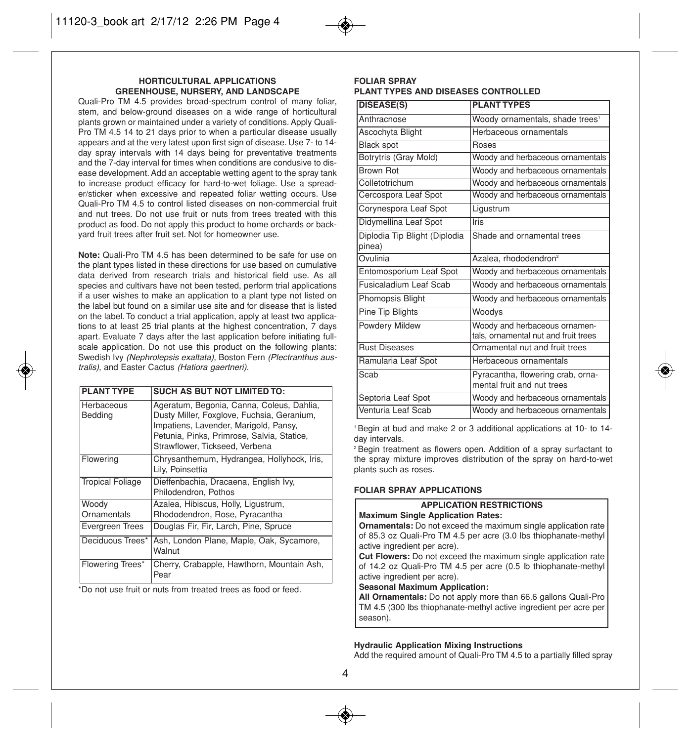#### **HORTICULTURAL APPLICATIONS GREENHOUSE, NURSERY, AND LANDSCAPE**

Quali-Pro TM 4.5 provides broad-spectrum control of many foliar, stem, and below-ground diseases on a wide range of horticultural plants grown or maintained under a variety of conditions. Apply Quali-Pro TM 4.5 14 to 21 days prior to when a particular disease usually appears and at the very latest upon first sign of disease. Use 7- to 14 day spray intervals with 14 days being for preventative treatments and the 7-day interval for times when conditions are condusive to disease development. Add an acceptable wetting agent to the spray tank to increase product efficacy for hard-to-wet foliage. Use a spreader/sticker when excessive and repeated foliar wetting occurs. Use Quali-Pro TM 4.5 to control listed diseases on non-commercial fruit and nut trees. Do not use fruit or nuts from trees treated with this product as food. Do not apply this product to home orchards or backyard fruit trees after fruit set. Not for homeowner use.

**Note:** Quali-Pro TM 4.5 has been determined to be safe for use on the plant types listed in these directions for use based on cumulative data derived from research trials and historical field use. As all species and cultivars have not been tested, perform trial applications if a user wishes to make an application to a plant type not listed on the label but found on a similar use site and for disease that is listed on the label. To conduct a trial application, apply at least two applications to at least 25 trial plants at the highest concentration, 7 days apart. Evaluate 7 days after the last application before initiating fullscale application. Do not use this product on the following plants: Swedish Ivy (Nephrolepsis exaltata), Boston Fern (Plectranthus australis), and Easter Cactus (Hatiora gaertneri).

| <b>PLANT TYPE</b>       | <b>SUCH AS BUT NOT LIMITED TO:</b>                                                                                                                                                                               |
|-------------------------|------------------------------------------------------------------------------------------------------------------------------------------------------------------------------------------------------------------|
| Herbaceous<br>Bedding   | Ageratum, Begonia, Canna, Coleus, Dahlia,<br>Dusty Miller, Foxglove, Fuchsia, Geranium,<br>Impatiens, Lavender, Marigold, Pansy,<br>Petunia, Pinks, Primrose, Salvia, Statice,<br>Strawflower, Tickseed, Verbena |
| Flowering               | Chrysanthemum, Hydrangea, Hollyhock, Iris,<br>Lily, Poinsettia                                                                                                                                                   |
| <b>Tropical Foliage</b> | Dieffenbachia, Dracaena, English Ivy,<br>Philodendron, Pothos                                                                                                                                                    |
| Woody<br>Ornamentals    | Azalea, Hibiscus, Holly, Ligustrum,<br>Rhododendron, Rose, Pyracantha                                                                                                                                            |
| Evergreen Trees         | Douglas Fir, Fir, Larch, Pine, Spruce                                                                                                                                                                            |
| Deciduous Trees*        | Ash, London Plane, Maple, Oak, Sycamore,<br>Walnut                                                                                                                                                               |
| Flowering Trees*        | Cherry, Crabapple, Hawthorn, Mountain Ash,<br>Pear                                                                                                                                                               |

\*Do not use fruit or nuts from treated trees as food or feed.

#### **FOLIAR SPRAY PLANT TYPES AND DISEASES CONTROLLED**

| <b>DISEASE(S)</b>                       | <b>PLANT TYPES</b>                                                    |
|-----------------------------------------|-----------------------------------------------------------------------|
| Anthracnose                             | Woody ornamentals, shade trees <sup>1</sup>                           |
| Ascochyta Blight                        | Herbaceous ornamentals                                                |
| <b>Black spot</b>                       | Roses                                                                 |
| Botrytris (Gray Mold)                   | Woody and herbaceous ornamentals                                      |
| Brown Rot                               | Woody and herbaceous ornamentals                                      |
| Colletotrichum                          | Woody and herbaceous ornamentals                                      |
| Cercospora Leaf Spot                    | Woody and herbaceous ornamentals                                      |
| Corynespora Leaf Spot                   | Ligustrum                                                             |
| Didymellina Leaf Spot                   | Iris                                                                  |
| Diplodia Tip Blight (Diplodia<br>pinea) | Shade and ornamental trees                                            |
| Ovulinia                                | Azalea, rhododendron <sup>2</sup>                                     |
| Entomosporium Leaf Spot                 | Woody and herbaceous ornamentals                                      |
| Fusicaladium Leaf Scab                  | Woody and herbaceous ornamentals                                      |
| Phomopsis Blight                        | Woody and herbaceous ornamentals                                      |
| Pine Tip Blights                        | Woodys                                                                |
| Powdery Mildew                          | Woody and herbaceous ornamen-<br>tals, ornamental nut and fruit trees |
| <b>Rust Diseases</b>                    | Ornamental nut and fruit trees                                        |
| Ramularia Leaf Spot                     | Herbaceous ornamentals                                                |
| Scab                                    | Pyracantha, flowering crab, orna-<br>mental fruit and nut trees       |
| Septoria Leaf Spot                      | Woody and herbaceous ornamentals                                      |
| Venturia Leaf Scab                      | Woody and herbaceous ornamentals                                      |

1 Begin at bud and make 2 or 3 additional applications at 10- to 14 day intervals.

2 Begin treatment as flowers open. Addition of a spray surfactant to the spray mixture improves distribution of the spray on hard-to-wet plants such as roses.

#### **FOLIAR SPRAY APPLICATIONS**

#### **APPLICATION RESTRICTIONS Maximum Single Application Rates:**

**Ornamentals:** Do not exceed the maximum single application rate of 85.3 oz Quali-Pro TM 4.5 per acre (3.0 lbs thiophanate-methyl active ingredient per acre).

**Cut Flowers:** Do not exceed the maximum single application rate of 14.2 oz Quali-Pro TM 4.5 per acre (0.5 lb thiophanate-methyl active ingredient per acre).

#### **Seasonal Maximum Application:**

**All Ornamentals:** Do not apply more than 66.6 gallons Quali-Pro TM 4.5 (300 lbs thiophanate-methyl active ingredient per acre per season).

#### **Hydraulic Application Mixing Instructions**

Add the required amount of Quali-Pro TM 4.5 to a partially filled spray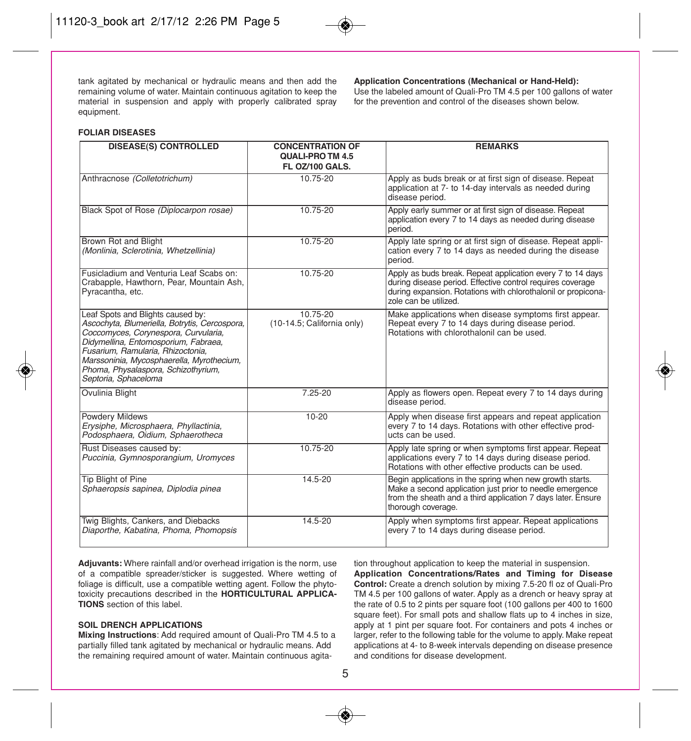tank agitated by mechanical or hydraulic means and then add the remaining volume of water. Maintain continuous agitation to keep the material in suspension and apply with properly calibrated spray equipment.

#### **Application Concentrations (Mechanical or Hand-Held):**

Use the labeled amount of Quali-Pro TM 4.5 per 100 gallons of water for the prevention and control of the diseases shown below.

#### **FOLIAR DISEASES**

| <b>DISEASE(S) CONTROLLED</b>                                                                                                                                                                                                                                                                                        | <b>CONCENTRATION OF</b><br>QUALI-PRO TM 4.5<br>FL OZ/100 GALS. | <b>REMARKS</b>                                                                                                                                                                                                     |
|---------------------------------------------------------------------------------------------------------------------------------------------------------------------------------------------------------------------------------------------------------------------------------------------------------------------|----------------------------------------------------------------|--------------------------------------------------------------------------------------------------------------------------------------------------------------------------------------------------------------------|
| Anthracnose (Colletotrichum)                                                                                                                                                                                                                                                                                        | 10.75-20                                                       | Apply as buds break or at first sign of disease. Repeat<br>application at 7- to 14-day intervals as needed during<br>disease period.                                                                               |
| Black Spot of Rose (Diplocarpon rosae)                                                                                                                                                                                                                                                                              | 10.75-20                                                       | Apply early summer or at first sign of disease. Repeat<br>application every 7 to 14 days as needed during disease<br>period.                                                                                       |
| Brown Rot and Blight<br>(Monlinia, Sclerotinia, Whetzellinia)                                                                                                                                                                                                                                                       | 10.75-20                                                       | Apply late spring or at first sign of disease. Repeat appli-<br>cation every 7 to 14 days as needed during the disease<br>period.                                                                                  |
| Fusicladium and Venturia Leaf Scabs on:<br>Crabapple, Hawthorn, Pear, Mountain Ash,<br>Pyracantha, etc.                                                                                                                                                                                                             | $10.75 - 20$                                                   | Apply as buds break. Repeat application every 7 to 14 days<br>during disease period. Effective control requires coverage<br>during expansion. Rotations with chlorothalonil or propicona-<br>zole can be utilized. |
| Leaf Spots and Blights caused by:<br>Ascochyta, Blumeriella, Botrytis, Cercospora,<br>Coccomyces, Corynespora, Curvularia,<br>Didymellina, Entomosporium, Fabraea,<br>Fusarium, Ramularia, Rhizoctonia,<br>Marssoninia, Mycosphaerella, Myrothecium,<br>Phoma, Physalaspora, Schizothyrium,<br>Septoria, Sphaceloma | $10.75 - 20$<br>(10-14.5; California only)                     | Make applications when disease symptoms first appear.<br>Repeat every 7 to 14 days during disease period.<br>Rotations with chlorothalonil can be used.                                                            |
| Ovulinia Blight                                                                                                                                                                                                                                                                                                     | $7.25 - 20$                                                    | Apply as flowers open. Repeat every 7 to 14 days during<br>disease period.                                                                                                                                         |
| Powdery Mildews<br>Erysiphe, Microsphaera, Phyllactinia,<br>Podosphaera, Oidium, Sphaerotheca                                                                                                                                                                                                                       | $10 - 20$                                                      | Apply when disease first appears and repeat application<br>every 7 to 14 days. Rotations with other effective prod-<br>ucts can be used.                                                                           |
| Rust Diseases caused by:<br>Puccinia, Gymnosporangium, Uromyces                                                                                                                                                                                                                                                     | 10.75-20                                                       | Apply late spring or when symptoms first appear. Repeat<br>applications every 7 to 14 days during disease period.<br>Rotations with other effective products can be used.                                          |
| Tip Blight of Pine<br>Sphaeropsis sapinea, Diplodia pinea                                                                                                                                                                                                                                                           | $14.5 - 20$                                                    | Begin applications in the spring when new growth starts.<br>Make a second application just prior to needle emergence<br>from the sheath and a third application 7 days later. Ensure<br>thorough coverage.         |
| Twig Blights, Cankers, and Diebacks<br>Diaporthe, Kabatina, Phoma, Phomopsis                                                                                                                                                                                                                                        | 14.5-20                                                        | Apply when symptoms first appear. Repeat applications<br>every 7 to 14 days during disease period.                                                                                                                 |

**Adjuvants:** Where rainfall and/or overhead irrigation is the norm, use of a compatible spreader/sticker is suggested. Where wetting of foliage is difficult, use a compatible wetting agent. Follow the phytotoxicity precautions described in the **HORTICULTURAL APPLICA-TIONS** section of this label.

#### **SOIL DRENCH APPLICATIONS**

**Mixing Instructions**: Add required amount of Quali-Pro TM 4.5 to a partially filled tank agitated by mechanical or hydraulic means. Add the remaining required amount of water. Maintain continuous agitation throughout application to keep the material in suspension.

**Application Concentrations/Rates and Timing for Disease Control:** Create a drench solution by mixing 7.5-20 fl oz of Quali-Pro TM 4.5 per 100 gallons of water. Apply as a drench or heavy spray at the rate of 0.5 to 2 pints per square foot (100 gallons per 400 to 1600 square feet). For small pots and shallow flats up to 4 inches in size, apply at 1 pint per square foot. For containers and pots 4 inches or larger, refer to the following table for the volume to apply. Make repeat applications at 4- to 8-week intervals depending on disease presence and conditions for disease development.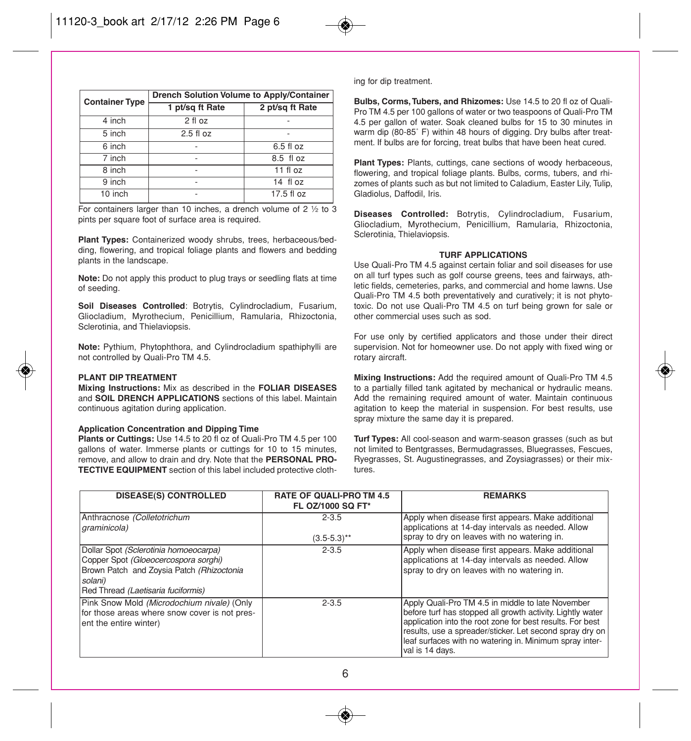| <b>Container Type</b> | <b>Drench Solution Volume to Apply/Container</b> |                 |  |
|-----------------------|--------------------------------------------------|-----------------|--|
|                       | 1 pt/sq ft Rate                                  | 2 pt/sq ft Rate |  |
| 4 inch                | 2 fl oz                                          |                 |  |
| 5 inch                | $2.5$ fl oz                                      |                 |  |
| 6 inch                |                                                  | 6.5 fl oz       |  |
| 7 inch                | ۰                                                | 8.5 fl oz       |  |
| 8 inch                |                                                  | $11$ fl oz      |  |
| 9 inch                |                                                  | 14 fl oz        |  |
| 10 inch               |                                                  | 17.5 fl oz      |  |

For containers larger than 10 inches, a drench volume of 2 ½ to 3 pints per square foot of surface area is required.

**Plant Types:** Containerized woody shrubs, trees, herbaceous/bedding, flowering, and tropical foliage plants and flowers and bedding plants in the landscape.

**Note:** Do not apply this product to plug trays or seedling flats at time of seeding.

**Soil Diseases Controlled**: Botrytis, Cylindrocladium, Fusarium, Gliocladium, Myrothecium, Penicillium, Ramularia, Rhizoctonia, Sclerotinia, and Thielaviopsis.

**Note:** Pythium, Phytophthora, and Cylindrocladium spathiphylli are not controlled by Quali-Pro TM 4.5.

#### **PLANT DIP TREATMENT**

**Mixing Instructions:** Mix as described in the **FOLIAR DISEASES** and **SOIL DRENCH APPLICATIONS** sections of this label. Maintain continuous agitation during application.

#### **Application Concentration and Dipping Time**

**Plants or Cuttings:** Use 14.5 to 20 fl oz of Quali-Pro TM 4.5 per 100 gallons of water. Immerse plants or cuttings for 10 to 15 minutes, remove, and allow to drain and dry. Note that the **PERSONAL PRO-TECTIVE EQUIPMENT** section of this label included protective clothing for dip treatment.

**Bulbs, Corms, Tubers, and Rhizomes:** Use 14.5 to 20 fl oz of Quali-Pro TM 4.5 per 100 gallons of water or two teaspoons of Quali-Pro TM 4.5 per gallon of water. Soak cleaned bulbs for 15 to 30 minutes in warm dip (80-85˚ F) within 48 hours of digging. Dry bulbs after treatment. If bulbs are for forcing, treat bulbs that have been heat cured.

**Plant Types:** Plants, cuttings, cane sections of woody herbaceous, flowering, and tropical foliage plants. Bulbs, corms, tubers, and rhizomes of plants such as but not limited to Caladium, Easter Lily, Tulip, Gladiolus, Daffodil, Iris.

**Diseases Controlled:** Botrytis, Cylindrocladium, Fusarium, Gliocladium, Myrothecium, Penicillium, Ramularia, Rhizoctonia, Sclerotinia, Thielaviopsis.

#### **TURF APPLICATIONS**

Use Quali-Pro TM 4.5 against certain foliar and soil diseases for use on all turf types such as golf course greens, tees and fairways, athletic fields, cemeteries, parks, and commercial and home lawns. Use Quali-Pro TM 4.5 both preventatively and curatively; it is not phytotoxic. Do not use Quali-Pro TM 4.5 on turf being grown for sale or other commercial uses such as sod.

For use only by certified applicators and those under their direct supervision. Not for homeowner use. Do not apply with fixed wing or rotary aircraft.

**Mixing Instructions:** Add the required amount of Quali-Pro TM 4.5 to a partially filled tank agitated by mechanical or hydraulic means. Add the remaining required amount of water. Maintain continuous agitation to keep the material in suspension. For best results, use spray mixture the same day it is prepared.

**Turf Types:** All cool-season and warm-season grasses (such as but not limited to Bentgrasses, Bermudagrasses, Bluegrasses, Fescues, Ryegrasses, St. Augustinegrasses, and Zoysiagrasses) or their mixtures.

| <b>DISEASE(S) CONTROLLED</b>                                                                                                                                                | <b>RATE OF QUALI-PRO TM 4.5</b><br>FL 0Z/1000 SQ FT* | <b>REMARKS</b>                                                                                                                                                                                                                                                                                                         |
|-----------------------------------------------------------------------------------------------------------------------------------------------------------------------------|------------------------------------------------------|------------------------------------------------------------------------------------------------------------------------------------------------------------------------------------------------------------------------------------------------------------------------------------------------------------------------|
| Anthracnose (Colletotrichum<br>graminicola)                                                                                                                                 | $2 - 3.5$<br>$(3.5-5.3)$ **                          | Apply when disease first appears. Make additional<br>applications at 14-day intervals as needed. Allow<br>spray to dry on leaves with no watering in.                                                                                                                                                                  |
|                                                                                                                                                                             |                                                      |                                                                                                                                                                                                                                                                                                                        |
| Dollar Spot (Sclerotinia homoeocarpa)<br>Copper Spot (Gloeocercospora sorghi)<br>Brown Patch and Zoysia Patch (Rhizoctonia<br>solani)<br>Red Thread (Laetisaria fuciformis) | $2 - 3.5$                                            | Apply when disease first appears. Make additional<br>applications at 14-day intervals as needed. Allow<br>spray to dry on leaves with no watering in.                                                                                                                                                                  |
| Pink Snow Mold (Microdochium nivale) (Only<br>for those areas where snow cover is not pres-<br>lent the entire winter)                                                      | $2 - 3.5$                                            | Apply Quali-Pro TM 4.5 in middle to late November<br>before turf has stopped all growth activity. Lightly water<br>application into the root zone for best results. For best<br>results, use a spreader/sticker. Let second spray dry on<br>leaf surfaces with no watering in. Minimum spray inter-<br>val is 14 days. |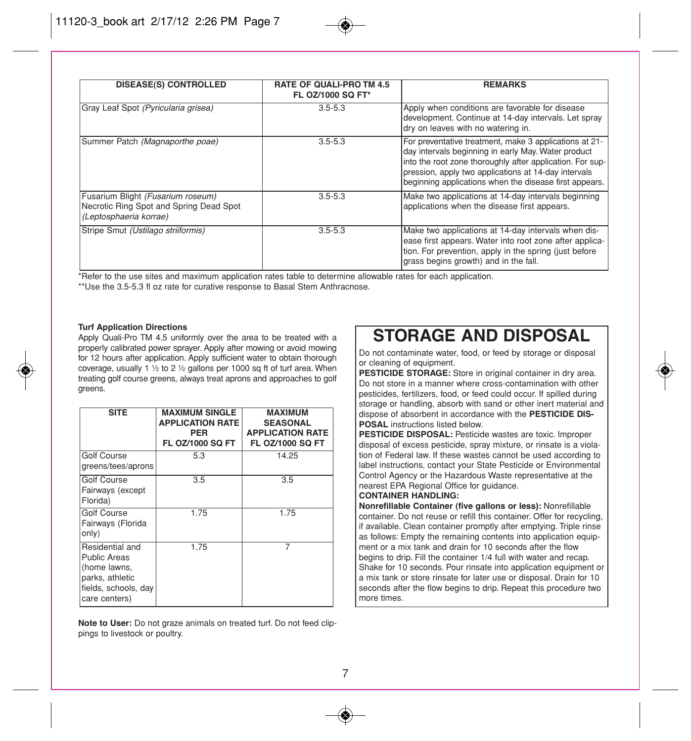| <b>DISEASE(S) CONTROLLED</b>                                                                           | <b>RATE OF QUALI-PRO TM 4.5</b><br>FL 0Z/1000 SQ FT* | <b>REMARKS</b>                                                                                                                                                                                                                                                                               |
|--------------------------------------------------------------------------------------------------------|------------------------------------------------------|----------------------------------------------------------------------------------------------------------------------------------------------------------------------------------------------------------------------------------------------------------------------------------------------|
| Gray Leaf Spot (Pyricularia grisea)                                                                    | $3.5 - 5.3$                                          | Apply when conditions are favorable for disease<br>development. Continue at 14-day intervals. Let spray<br>dry on leaves with no watering in.                                                                                                                                                |
| Summer Patch (Magnaporthe poae)                                                                        | $3.5 - 5.3$                                          | For preventative treatment, make 3 applications at 21-<br>day intervals beginning in early May. Water product<br>into the root zone thoroughly after application. For sup-<br>pression, apply two applications at 14-day intervals<br>beginning applications when the disease first appears. |
| Fusarium Blight (Fusarium roseum)<br>Necrotic Ring Spot and Spring Dead Spot<br>(Leptosphaeria korrae) | $3.5 - 5.3$                                          | Make two applications at 14-day intervals beginning<br>applications when the disease first appears.                                                                                                                                                                                          |
| Stripe Smut (Ustilago striiformis)                                                                     | $3.5 - 5.3$                                          | Make two applications at 14-day intervals when dis-<br>ease first appears. Water into root zone after applica-<br>tion. For prevention, apply in the spring (just before<br>grass begins growth) and in the fall.                                                                            |

\*Refer to the use sites and maximum application rates table to determine allowable rates for each application.

\*\*Use the 3.5-5.3 fl oz rate for curative response to Basal Stem Anthracnose.

#### **Turf Application Directions**

Apply Quali-Pro TM 4.5 uniformly over the area to be treated with a properly calibrated power sprayer. Apply after mowing or avoid mowing for 12 hours after application. Apply sufficient water to obtain thorough coverage, usually 1  $\frac{1}{2}$  to 2  $\frac{1}{2}$  gallons per 1000 sq ft of turf area. When treating golf course greens, always treat aprons and approaches to golf greens.

| <b>SITE</b>                                                                                                        | <b>MAXIMUM SINGLE</b><br><b>APPLICATION RATE</b><br><b>PFR</b><br><b>FL OZ/1000 SQ FT</b> | <b>MAXIMUM</b><br><b>SEASONAL</b><br><b>APPLICATION RATE</b><br><b>FL OZ/1000 SQ FT</b> |
|--------------------------------------------------------------------------------------------------------------------|-------------------------------------------------------------------------------------------|-----------------------------------------------------------------------------------------|
| <b>Golf Course</b><br>greens/tees/aprons                                                                           | 5.3                                                                                       | 14.25                                                                                   |
| Golf Course<br>Fairways (except<br>Florida)                                                                        | 3.5                                                                                       | 3.5                                                                                     |
| Golf Course<br>Fairways (Florida<br>only)                                                                          | 1.75                                                                                      | 1.75                                                                                    |
| Residential and<br><b>Public Areas</b><br>(home lawns,<br>parks, athletic<br>fields, schools, day<br>care centers) | 1.75                                                                                      |                                                                                         |

**Note to User:** Do not graze animals on treated turf. Do not feed clippings to livestock or poultry.

### **STORAGE AND DISPOSAL**

Do not contaminate water, food, or feed by storage or disposal or cleaning of equipment.

**PESTICIDE STORAGE:** Store in original container in dry area. Do not store in a manner where cross-contamination with other pesticides, fertilizers, food, or feed could occur. If spilled during storage or handling, absorb with sand or other inert material and dispose of absorbent in accordance with the **PESTICIDE DIS-POSAL** instructions listed below.

**PESTICIDE DISPOSAL:** Pesticide wastes are toxic. Improper disposal of excess pesticide, spray mixture, or rinsate is a violation of Federal law. If these wastes cannot be used according to label instructions, contact your State Pesticide or Environmental Control Agency or the Hazardous Waste representative at the nearest EPA Regional Office for guidance.

#### **CONTAINER HANDLING:**

**Nonrefillable Container (five gallons or less):** Nonrefillable container. Do not reuse or refill this container. Offer for recycling, if available. Clean container promptly after emptying. Triple rinse as follows: Empty the remaining contents into application equipment or a mix tank and drain for 10 seconds after the flow begins to drip. Fill the container 1/4 full with water and recap. Shake for 10 seconds. Pour rinsate into application equipment or a mix tank or store rinsate for later use or disposal. Drain for 10 seconds after the flow begins to drip. Repeat this procedure two more times.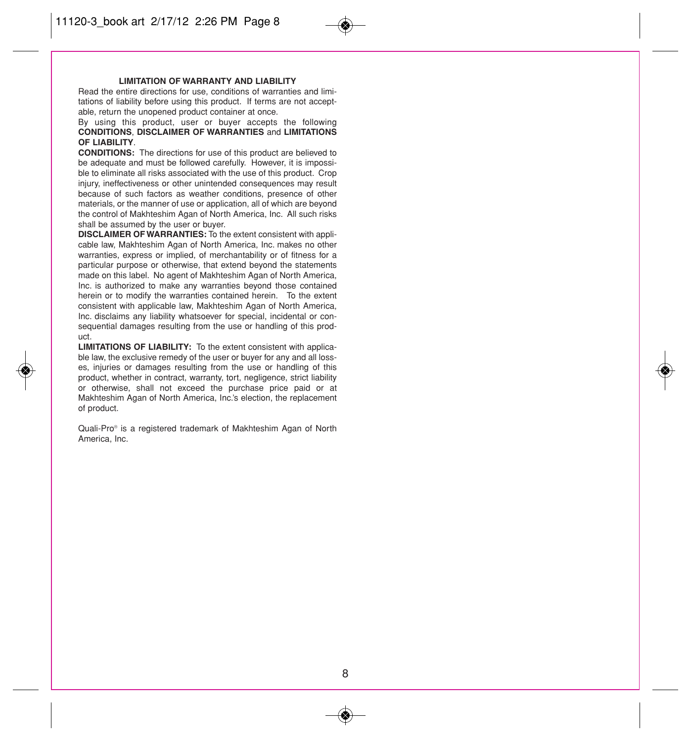#### **LIMITATION OF WARRANTY AND LIABILITY**

Read the entire directions for use, conditions of warranties and limitations of liability before using this product. If terms are not acceptable, return the unopened product container at once.

#### By using this product, user or buyer accepts the following **CONDITIONS**, **DISCLAIMER OF WARRANTIES** and **LIMITATIONS OF LIABILITY**.

**CONDITIONS:** The directions for use of this product are believed to be adequate and must be followed carefully. However, it is impossible to eliminate all risks associated with the use of this product. Crop injury, ineffectiveness or other unintended consequences may result because of such factors as weather conditions, presence of other materials, or the manner of use or application, all of which are beyond the control of Makhteshim Agan of North America, Inc. All such risks shall be assumed by the user or buyer.

**DISCLAIMER OF WARRANTIES:** To the extent consistent with applicable law, Makhteshim Agan of North America, Inc. makes no other warranties, express or implied, of merchantability or of fitness for a particular purpose or otherwise, that extend beyond the statements made on this label. No agent of Makhteshim Agan of North America, Inc. is authorized to make any warranties beyond those contained herein or to modify the warranties contained herein. To the extent consistent with applicable law, Makhteshim Agan of North America, Inc. disclaims any liability whatsoever for special, incidental or consequential damages resulting from the use or handling of this product.

**LIMITATIONS OF LIABILITY:** To the extent consistent with applicable law, the exclusive remedy of the user or buyer for any and all losses, injuries or damages resulting from the use or handling of this product, whether in contract, warranty, tort, negligence, strict liability or otherwise, shall not exceed the purchase price paid or at Makhteshim Agan of North America, Inc.'s election, the replacement of product.

Quali-Pro® is a registered trademark of Makhteshim Agan of North America, Inc.